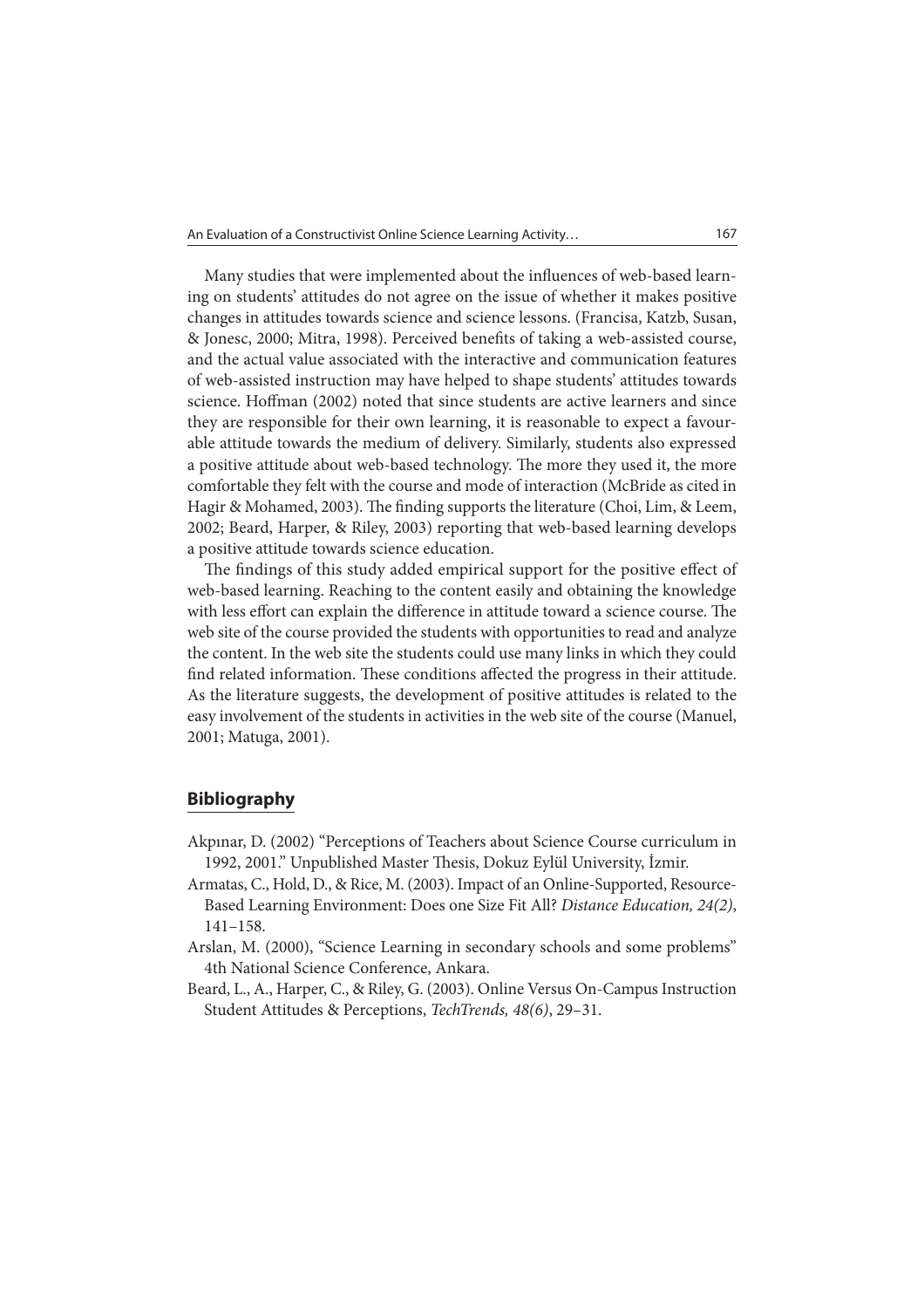Many studies that were implemented about the influences of web-based learning on students' attitudes do not agree on the issue of whether it makes positive changes in attitudes towards science and science lessons. (Francisa, Katzb, Susan, & Jonesc, 2000; Mitra, 1998). Perceived benefits of taking a web-assisted course, and the actual value associated with the interactive and communication features of web-assisted instruction may have helped to shape students' attitudes towards science. Hoffman (2002) noted that since students are active learners and since they are responsible for their own learning, it is reasonable to expect a favourable attitude towards the medium of delivery. Similarly, students also expressed a positive attitude about web-based technology. The more they used it, the more comfortable they felt with the course and mode of interaction (McBride as cited in Hagir & Mohamed, 2003). The finding supports the literature (Choi, Lim, & Leem, 2002; Beard, Harper, & Riley, 2003) reporting that web-based learning develops a positive attitude towards science education.

The findings of this study added empirical support for the positive effect of web-based learning. Reaching to the content easily and obtaining the knowledge with less effort can explain the difference in attitude toward a science course. The web site of the course provided the students with opportunities to read and analyze the content. In the web site the students could use many links in which they could find related information. These conditions affected the progress in their attitude. As the literature suggests, the development of positive attitudes is related to the easy involvement of the students in activities in the web site of the course (Manuel, 2001; Matuga, 2001).

## **Bibliography**

- Akpınar, D. (2002) "Perceptions of Teachers about Science Course curriculum in 1992, 2001." Unpublished Master Thesis, Dokuz Eylül University, İzmir.
- Armatas, C., Hold, D., & Rice, M. (2003). Impact of an Online-Supported, Resource-Based Learning Environment: Does one Size Fit All? Distance Education, 24(2), 141–158.
- Arslan, M. (2000), "Science Learning in secondary schools and some problems" 4th National Science Conference, Ankara.
- Beard, L., A., Harper, C., & Riley, G. (2003). Online Versus On-Campus Instruction Student Attitudes & Perceptions, TechTrends, 48(6), 29–31.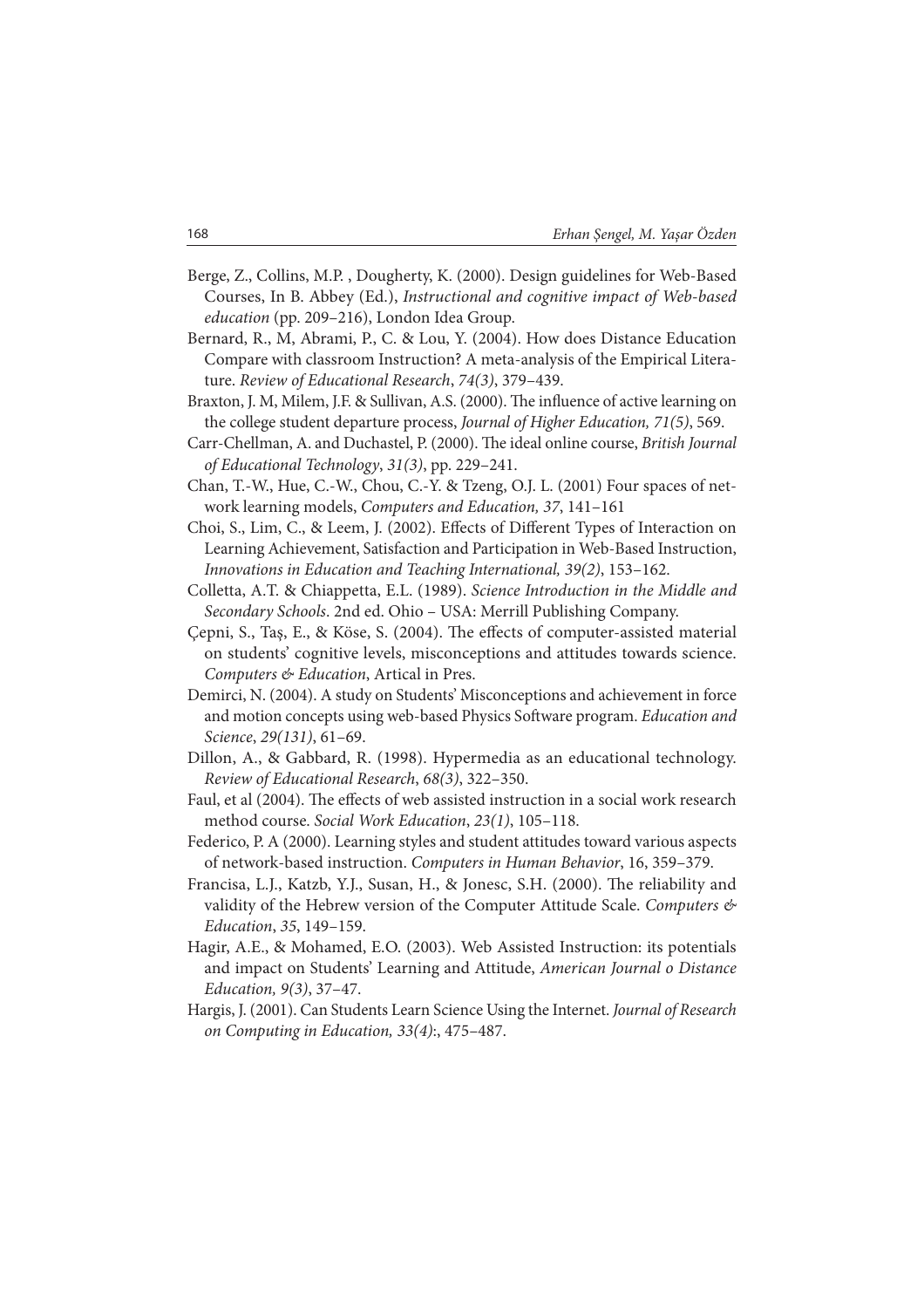- Berge, Z., Collins, M.P. , Dougherty, K. (2000). Design guidelines for Web-Based Courses, In B. Abbey (Ed.), Instructional and cognitive impact of Web-based education (pp. 209–216), London Idea Group.
- Bernard, R., M, Abrami, P., C. & Lou, Y. (2004). How does Distance Education Compare with classroom Instruction? A meta-analysis of the Empirical Literature. Review of Educational Research, 74(3), 379–439.
- Braxton, J. M, Milem, J.F. & Sullivan, A.S. (2000). The influence of active learning on the college student departure process, Journal of Higher Education, 71(5), 569.
- Carr-Chellman, A. and Duchastel, P. (2000). The ideal online course, British Journal of Educational Technology, 31(3), pp. 229–241.
- Chan, T.-W., Hue, C.-W., Chou, C.-Y. & Tzeng, O.J. L. (2001) Four spaces of network learning models, Computers and Education, 37, 141–161
- Choi, S., Lim, C., & Leem, J. (2002). Effects of Different Types of Interaction on Learning Achievement, Satisfaction and Participation in Web-Based Instruction, Innovations in Education and Teaching International, 39(2), 153–162.
- Colletta, A.T. & Chiappetta, E.L. (1989). Science Introduction in the Middle and Secondary Schools. 2nd ed. Ohio – USA: Merrill Publishing Company.
- Çepni, S., Taş, E., & Köse, S. (2004). The effects of computer-assisted material on students' cognitive levels, misconceptions and attitudes towards science. Computers & Education, Artical in Pres.
- Demirci, N. (2004). A study on Students' Misconceptions and achievement in force and motion concepts using web-based Physics Software program. Education and Science, 29(131), 61–69.
- Dillon, A., & Gabbard, R. (1998). Hypermedia as an educational technology. Review of Educational Research, 68(3), 322–350.
- Faul, et al (2004). The effects of web assisted instruction in a social work research method course. Social Work Education, 23(1), 105–118.
- Federico, P. A (2000). Learning styles and student attitudes toward various aspects of network-based instruction. Computers in Human Behavior, 16, 359–379.
- Francisa, L.J., Katzb, Y.J., Susan, H., & Jonesc, S.H. (2000). The reliability and validity of the Hebrew version of the Computer Attitude Scale. Computers & Education, 35, 149–159.
- Hagir, A.E., & Mohamed, E.O. (2003). Web Assisted Instruction: its potentials and impact on Students' Learning and Attitude, American Journal o Distance Education, 9(3), 37–47.
- Hargis, J. (2001). Can Students Learn Science Using the Internet. Journal of Research on Computing in Education, 33(4):, 475–487.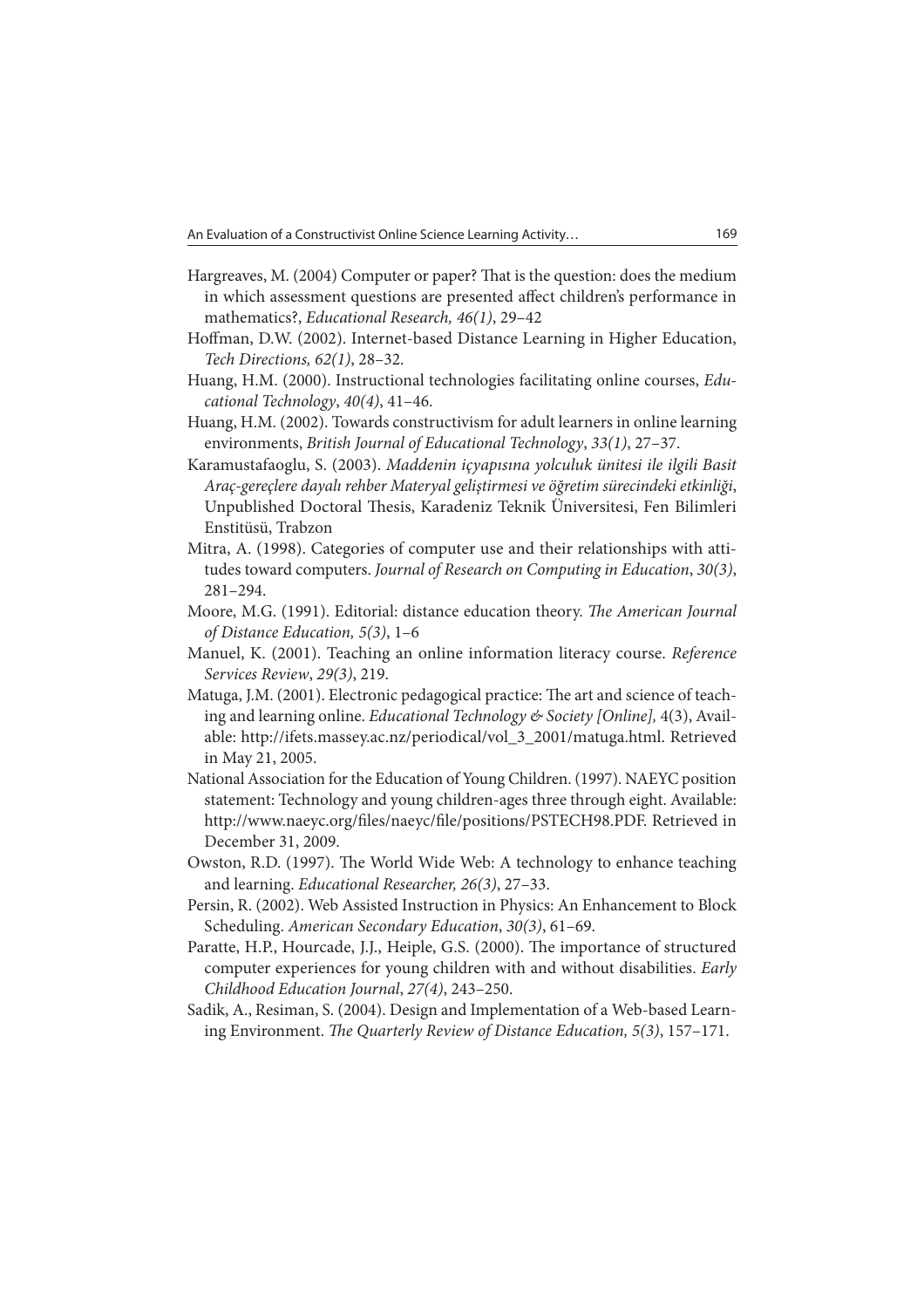- Hargreaves, M. (2004) Computer or paper? That is the question: does the medium in which assessment questions are presented affect children's performance in mathematics?, Educational Research, 46(1), 29–42
- Hoffman, D.W. (2002). Internet-based Distance Learning in Higher Education, Tech Directions, 62(1), 28–32.
- Huang, H.M. (2000). Instructional technologies facilitating online courses, Educational Technology, 40(4), 41–46.
- Huang, H.M. (2002). Towards constructivism for adult learners in online learning environments, British Journal of Educational Technology, 33(1), 27–37.
- Karamustafaoglu, S. (2003). Maddenin içyapısına yolculuk ünitesi ile ilgili Basit Araç-gereçlere dayalı rehber Materyal geliştirmesi ve öğretim sürecindeki etkinliği, Unpublished Doctoral Thesis, Karadeniz Teknik Üniversitesi, Fen Bilimleri Enstitüsü, Trabzon
- Mitra, A. (1998). Categories of computer use and their relationships with attitudes toward computers. Journal of Research on Computing in Education, 30(3), 281–294.
- Moore, M.G. (1991). Editorial: distance education theory. The American Journal of Distance Education, 5(3), 1–6
- Manuel, K. (2001). Teaching an online information literacy course. Reference Services Review, 29(3), 219.
- Matuga, J.M. (2001). Electronic pedagogical practice: The art and science of teaching and learning online. Educational Technology & Society [Online], 4(3), Available: http://ifets.massey.ac.nz/periodical/vol\_3\_2001/matuga.html. Retrieved in May 21, 2005.
- National Association for the Education of Young Children. (1997). NAEYC position statement: Technology and young children-ages three through eight. Available: http://www.naeyc.org/files/naeyc/file/positions/PSTECH98.PDF. Retrieved in December 31, 2009.
- Owston, R.D. (1997). The World Wide Web: A technology to enhance teaching and learning. Educational Researcher, 26(3), 27–33.
- Persin, R. (2002). Web Assisted Instruction in Physics: An Enhancement to Block Scheduling. American Secondary Education, 30(3), 61–69.
- Paratte, H.P., Hourcade, J.J., Heiple, G.S. (2000). The importance of structured computer experiences for young children with and without disabilities. Early Childhood Education Journal, 27(4), 243–250.
- Sadik, A., Resiman, S. (2004). Design and Implementation of a Web-based Learning Environment. The Quarterly Review of Distance Education, 5(3), 157-171.